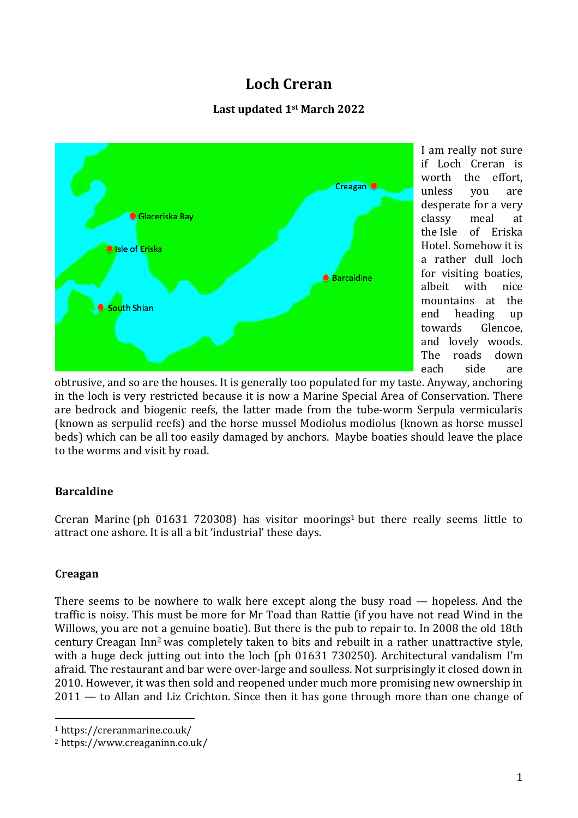# **Loch Creran**

## **Last updated 1st March 2022**



I am really not sure if Loch Creran is worth the effort. unless you are desperate for a very classy meal at the Isle of Eriska Hotel. Somehow it is a rather dull loch for visiting boaties, albeit with nice mountains at the end heading up towards Glencoe, and lovely woods. The roads down each side are

obtrusive, and so are the houses. It is generally too populated for my taste. Anyway, anchoring in the loch is very restricted because it is now a Marine Special Area of Conservation. There are bedrock and biogenic reefs, the latter made from the tube-worm Serpula vermicularis (known as serpulid reefs) and the horse mussel Modiolus modiolus (known as horse mussel beds) which can be all too easily damaged by anchors. Maybe boaties should leave the place to the worms and visit by road.

### **Barcaldine**

Creran Marine (ph  $01631$  720308) has visitor moorings<sup>1</sup> but there really seems little to attract one ashore. It is all a bit 'industrial' these days.

### **Creagan**

There seems to be nowhere to walk here except along the busy road — hopeless. And the traffic is noisy. This must be more for Mr Toad than Rattie (if you have not read Wind in the Willows, you are not a genuine boatie). But there is the pub to repair to. In 2008 the old 18th century Creagan Inn2 was completely taken to bits and rebuilt in a rather unattractive style, with a huge deck jutting out into the loch (ph 01631 730250). Architectural vandalism I'm afraid. The restaurant and bar were over-large and soulless. Not surprisingly it closed down in 2010. However, it was then sold and reopened under much more promising new ownership in 2011 — to Allan and Liz Crichton. Since then it has gone through more than one change of

 <sup>1</sup> https://creranmarine.co.uk/

<sup>2</sup> https://www.creaganinn.co.uk/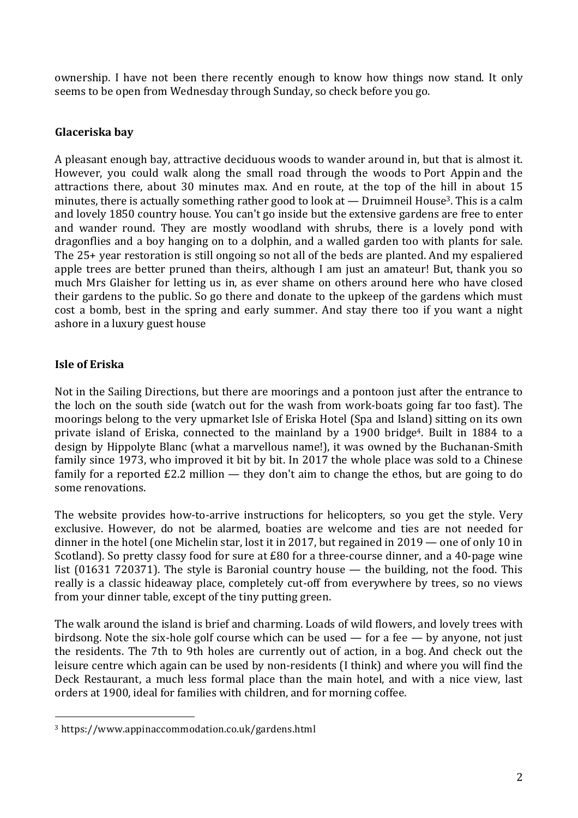ownership. I have not been there recently enough to know how things now stand. It only seems to be open from Wednesday through Sunday, so check before you go.

### **Glaceriska bay**

A pleasant enough bay, attractive deciduous woods to wander around in, but that is almost it. However, you could walk along the small road through the woods to Port Appin and the attractions there, about 30 minutes max. And en route, at the top of the hill in about 15 minutes, there is actually something rather good to look at  $-$  Druimneil House<sup>3</sup>. This is a calm and lovely 1850 country house. You can't go inside but the extensive gardens are free to enter and wander round. They are mostly woodland with shrubs, there is a lovely pond with dragonflies and a boy hanging on to a dolphin, and a walled garden too with plants for sale. The 25+ year restoration is still ongoing so not all of the beds are planted. And my espaliered apple trees are better pruned than theirs, although I am just an amateur! But, thank you so much Mrs Glaisher for letting us in, as ever shame on others around here who have closed their gardens to the public. So go there and donate to the upkeep of the gardens which must cost a bomb, best in the spring and early summer. And stay there too if you want a night ashore in a luxury guest house

### **Isle of Eriska**

Not in the Sailing Directions, but there are moorings and a pontoon just after the entrance to the loch on the south side (watch out for the wash from work-boats going far too fast). The moorings belong to the very upmarket Isle of Eriska Hotel (Spa and Island) sitting on its own private island of Eriska, connected to the mainland by a 1900 bridge4. Built in 1884 to a design by Hippolyte Blanc (what a marvellous name!), it was owned by the Buchanan-Smith family since 1973, who improved it bit by bit. In 2017 the whole place was sold to a Chinese family for a reported  $E2.2$  million  $-$  they don't aim to change the ethos, but are going to do some renovations.

The website provides how-to-arrive instructions for helicopters, so you get the style. Very exclusive. However, do not be alarmed, boaties are welcome and ties are not needed for dinner in the hotel (one Michelin star, lost it in 2017, but regained in 2019 — one of only 10 in Scotland). So pretty classy food for sure at £80 for a three-course dinner, and a 40-page wine list (01631 720371). The style is Baronial country house — the building, not the food. This really is a classic hideaway place, completely cut-off from everywhere by trees, so no views from your dinner table, except of the tiny putting green.

The walk around the island is brief and charming. Loads of wild flowers, and lovely trees with birdsong. Note the six-hole golf course which can be used — for a fee — by anyone, not just the residents. The 7th to 9th holes are currently out of action, in a bog. And check out the leisure centre which again can be used by non-residents (I think) and where you will find the Deck Restaurant, a much less formal place than the main hotel, and with a nice view, last orders at 1900, ideal for families with children, and for morning coffee.

 

<sup>3</sup> https://www.appinaccommodation.co.uk/gardens.html